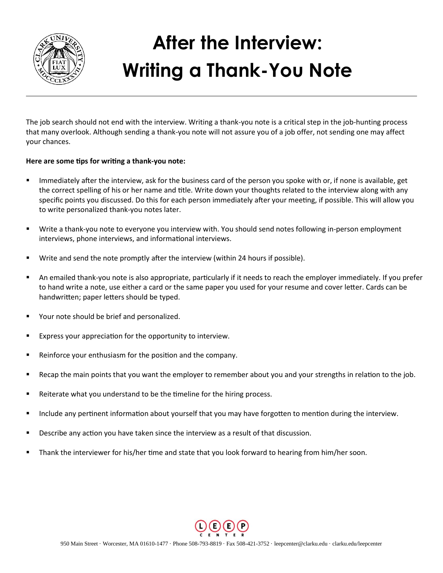

## **After the Interview: Writing a Thank-You Note**

The job search should not end with the interview. Writing a thank-you note is a critical step in the job-hunting process that many overlook. Although sending a thank-you note will not assure you of a job offer, not sending one may affect your chances.

## **Here are some tips for writing a thank-you note:**

- Immediately after the interview, ask for the business card of the person you spoke with or, if none is available, get the correct spelling of his or her name and title. Write down your thoughts related to the interview along with any specific points you discussed. Do this for each person immediately after your meeting, if possible. This will allow you to write personalized thank-you notes later.
- Write a thank-you note to everyone you interview with. You should send notes following in-person employment interviews, phone interviews, and informational interviews.
- Write and send the note promptly after the interview (within 24 hours if possible).
- An emailed thank-you note is also appropriate, particularly if it needs to reach the employer immediately. If you prefer to hand write a note, use either a card or the same paper you used for your resume and cover letter. Cards can be handwritten; paper letters should be typed.
- Your note should be brief and personalized.
- Express your appreciation for the opportunity to interview.
- Reinforce your enthusiasm for the position and the company.
- Recap the main points that you want the employer to remember about you and your strengths in relation to the job.
- Reiterate what you understand to be the timeline for the hiring process.
- Include any pertinent information about yourself that you may have forgotten to mention during the interview.
- Describe any action you have taken since the interview as a result of that discussion.
- **Thank the interviewer for his/her time and state that you look forward to hearing from him/her soon.**